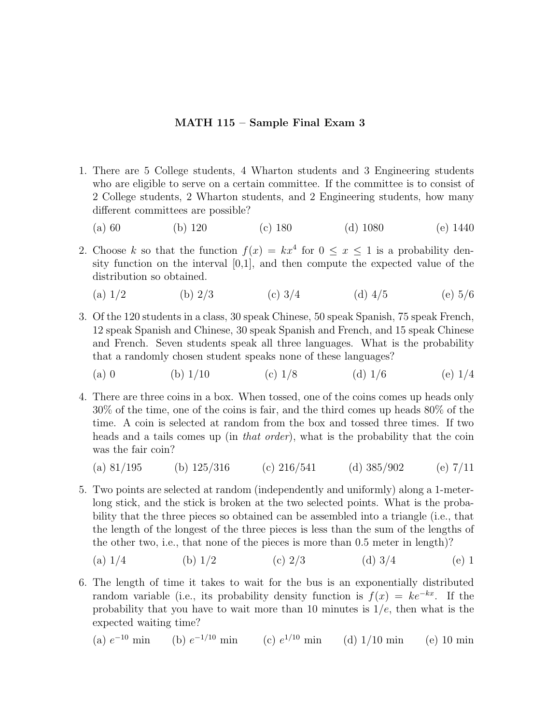## **MATH 115 – Sample Final Exam 3**

- 1. There are 5 College students, 4 Wharton students and 3 Engineering students who are eligible to serve on a certain committee. If the committee is to consist of 2 College students, 2 Wharton students, and 2 Engineering students, how many different committees are possible?
	- (a) 60 (b) 120 (c) 180 (d) 1080 (e) 1440
- 2. Choose *k* so that the function  $f(x) = kx^4$  for  $0 \le x \le 1$  is a probability density function on the interval  $[0,1]$ , and then compute the expected value of the distribution so obtained.
	- (a)  $1/2$  (b)  $2/3$  (c)  $3/4$  (d)  $4/5$  (e)  $5/6$
- 3. Of the 120 students in a class, 30 speak Chinese, 50 speak Spanish, 75 speak French, 12 speak Spanish and Chinese, 30 speak Spanish and French, and 15 speak Chinese and French. Seven students speak all three languages. What is the probability that a randomly chosen student speaks none of these languages?
	- (a) 0 (b)  $1/10$  (c)  $1/8$  (d)  $1/6$  (e)  $1/4$
- 4. There are three coins in a box. When tossed, one of the coins comes up heads only 30% of the time, one of the coins is fair, and the third comes up heads 80% of the time. A coin is selected at random from the box and tossed three times. If two heads and a tails comes up (in *that order*), what is the probability that the coin was the fair coin?
	- (a)  $81/195$  (b)  $125/316$  (c)  $216/541$  (d)  $385/902$  (e)  $7/11$
- 5. Two points are selected at random (independentlyand uniformly) along a 1-meterlong stick, and the stick is broken at the two selected points. What is the probability that the three pieces so obtained can be assembled into a triangle (i.e., that the length of the longest of the three pieces is less than the sum of the lengths of the other two, i.e., that none of the pieces is more than 0.5 meter in length)?
	- (a)  $1/4$  (b)  $1/2$  (c)  $2/3$  (d)  $3/4$  (e) 1
- 6. The length of time it takes to wait for the bus is an exponentially distributed random variable (i.e., its probability density function is  $f(x) = ke^{-kx}$ . If the probability that you have to wait more than 10 minutes is  $1/e$ , then what is the expected waiting time?

(a) 
$$
e^{-10}
$$
 min (b)  $e^{-1/10}$  min (c)  $e^{1/10}$  min (d)  $1/10$  min (e) 10 min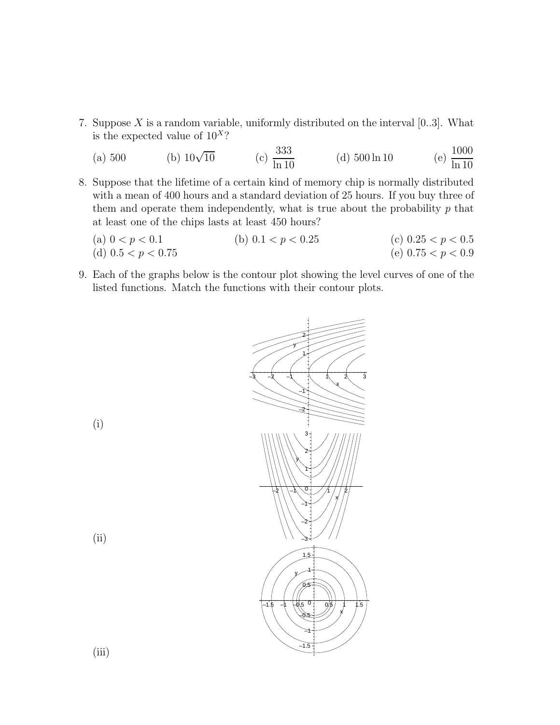7. Suppose  $X$  is a random variable, uniformly distributed on the interval  $[0..3]$ . What is the expected value of 10*<sup>X</sup>*?

(a) 500 (b)  $10\sqrt{10}$  (c)  $\frac{333}{\ln 10}$ (d)  $500 \ln 10$ (e)  $\frac{1000}{\ln 10}$ 

- 8. Suppose that the lifetime of a certain kind of memory chip is normally distributed with a mean of 400 hours and a standard deviation of 25 hours. If you buy three of them and operate them independently, what is true about the probability *p* that at least one of the chips lasts at least 450 hours?
	- (a)  $0 < p < 0.1$  (b)  $0.1 < p < 0.25$  (c)  $0.25 < p < 0.5$ (d)  $0.5 < p < 0.75$  (e)  $0.75 < p < 0.9$
- 9. Each of the graphs below is the contour plot showing the level curves of one of the listed functions. Match the functions with their contour plots.



(i)

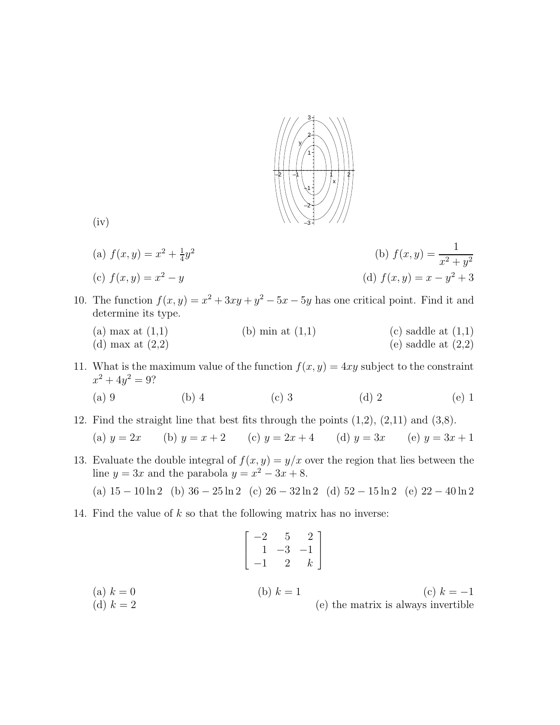

(a) 
$$
f(x, y) = x^2 + \frac{1}{4}y^2
$$
  
\n(b)  $f(x, y) = \frac{1}{x^2 + y^2}$   
\n(c)  $f(x, y) = x^2 - y$   
\n(d)  $f(x, y) = x - y^2 + 3$ 

- 10. The function  $f(x, y) = x^2 + 3xy + y^2 5x 5y$  has one critical point. Find it and determine its type.
	- (a) max at  $(1,1)$  (b) min at  $(1,1)$  (c) saddle at  $(1,1)$ (d) max at  $(2,2)$  (e) saddle at  $(2,2)$
- 11. What is the maximum value of the function  $f(x, y) = 4xy$  subject to the constraint  $x^2 + 4y^2 = 9$ ?
	- (a) 9 (b) 4 (c) 3 (d) 2 (e) 1
- 12. Find the straight line that best fits through the points (1,2), (2,11) and (3,8).

(a) 
$$
y = 2x
$$
 (b)  $y = x + 2$  (c)  $y = 2x + 4$  (d)  $y = 3x$  (e)  $y = 3x + 1$ 

13. Evaluate the double integral of  $f(x, y) = y/x$  over the region that lies between the line  $y = 3x$  and the parabola  $y = x^2 - 3x + 8$ .

(a)  $15 - 10 \ln 2$  (b)  $36 - 25 \ln 2$  (c)  $26 - 32 \ln 2$  (d)  $52 - 15 \ln 2$  (e)  $22 - 40 \ln 2$ 

14. Find the value of *k* so that the following matrix has no inverse:

$$
\begin{bmatrix} -2 & 5 & 2 \ 1 & -3 & -1 \ -1 & 2 & k \end{bmatrix}
$$
  
(a)  $k = 0$   
(b)  $k = 1$   
(c)  $k = -1$   
(d)  $k = 2$   
(e) the matrix is always invertible